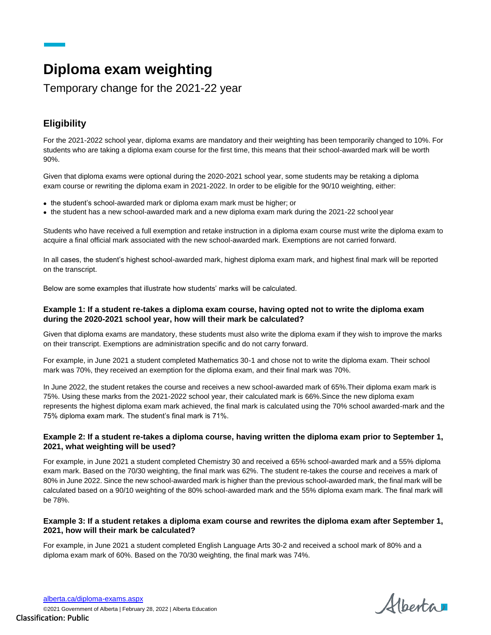# **Diploma exam weighting**

Temporary change for the 2021-22 year

# **Eligibility**

For the 2021-2022 school year, diploma exams are mandatory and their weighting has been temporarily changed to 10%. For students who are taking a diploma exam course for the first time, this means that their school-awarded mark will be worth 90%.

Given that diploma exams were optional during the 2020-2021 school year, some students may be retaking a diploma exam course or rewriting the diploma exam in 2021-2022. In order to be eligible for the 90/10 weighting, either:

- the student's school-awarded mark or diploma exam mark must be higher; or
- the student has a new school-awarded mark and a new diploma exam mark during the 2021-22 school year

Students who have received a full exemption and retake instruction in a diploma exam course must write the diploma exam to acquire a final official mark associated with the new school-awarded mark. Exemptions are not carried forward.

In all cases, the student's highest school-awarded mark, highest diploma exam mark, and highest final mark will be reported on the transcript.

Below are some examples that illustrate how students' marks will be calculated.

#### **Example 1: If a student re-takes a diploma exam course, having opted not to write the diploma exam during the 2020-2021 school year, how will their mark be calculated?**

Given that diploma exams are mandatory, these students must also write the diploma exam if they wish to improve the marks on their transcript. Exemptions are administration specific and do not carry forward.

For example, in June 2021 a student completed Mathematics 30-1 and chose not to write the diploma exam. Their school mark was 70%, they received an exemption for the diploma exam, and their final mark was 70%.

In June 2022, the student retakes the course and receives a new school-awarded mark of 65%.Their diploma exam mark is 75%. Using these marks from the 2021-2022 school year, their calculated mark is 66%.Since the new diploma exam represents the highest diploma exam mark achieved, the final mark is calculated using the 70% school awarded-mark and the 75% diploma exam mark. The student's final mark is 71%.

## **Example 2: If a student re-takes a diploma course, having written the diploma exam prior to September 1, 2021, what weighting will be used?**

For example, in June 2021 a student completed Chemistry 30 and received a 65% school-awarded mark and a 55% diploma exam mark. Based on the 70/30 weighting, the final mark was 62%. The student re-takes the course and receives a mark of 80% in June 2022. Since the new school-awarded mark is higher than the previous school-awarded mark, the final mark will be calculated based on a 90/10 weighting of the 80% school-awarded mark and the 55% diploma exam mark. The final mark will be 78%.

## **Example 3: If a student retakes a diploma exam course and rewrites the diploma exam after September 1, 2021, how will their mark be calculated?**

For example, in June 2021 a student completed English Language Arts 30-2 and received a school mark of 80% and a diploma exam mark of 60%. Based on the 70/30 weighting, the final mark was 74%.

Alberta